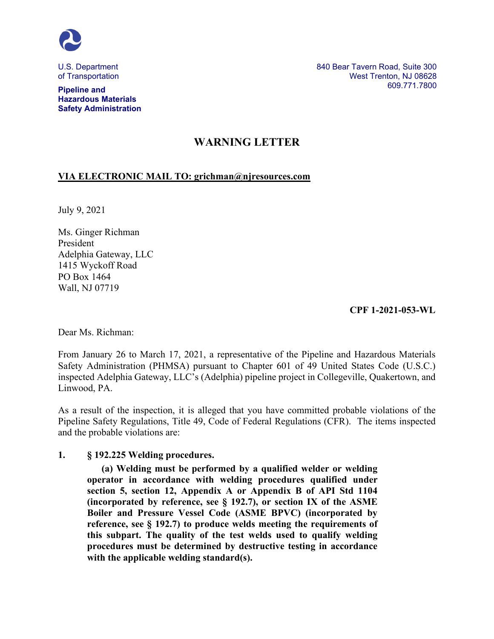

U.S. Department of Transportation

**Pipeline and Hazardous Materials Safety Administration** 840 Bear Tavern Road, Suite 300 West Trenton, NJ 08628 609.771.7800

## **WARNING LETTER**

## **VIA ELECTRONIC MAIL TO: grichman@njresources.com**

July 9, 2021

Ms. Ginger Richman President Adelphia Gateway, LLC 1415 Wyckoff Road PO Box 1464 Wall, NJ 07719

**CPF 1-2021-053-WL**

Dear Ms. Richman:

From January 26 to March 17, 2021, a representative of the Pipeline and Hazardous Materials Safety Administration (PHMSA) pursuant to Chapter 601 of 49 United States Code (U.S.C.) inspected Adelphia Gateway, LLC's (Adelphia) pipeline project in Collegeville, Quakertown, and Linwood, PA.

As a result of the inspection, it is alleged that you have committed probable violations of the Pipeline Safety Regulations, Title 49, Code of Federal Regulations (CFR). The items inspected and the probable violations are:

## **1. § 192.225 Welding procedures.**

**(a) Welding must be performed by a qualified welder or welding operator in accordance with welding procedures qualified under section 5, section 12, Appendix A or Appendix B of API Std 1104 (incorporated by reference, see § 192.7), or section IX of the ASME Boiler and Pressure Vessel Code (ASME BPVC) (incorporated by reference, see § 192.7) to produce welds meeting the requirements of this subpart. The quality of the test welds used to qualify welding procedures must be determined by destructive testing in accordance with the applicable welding standard(s).**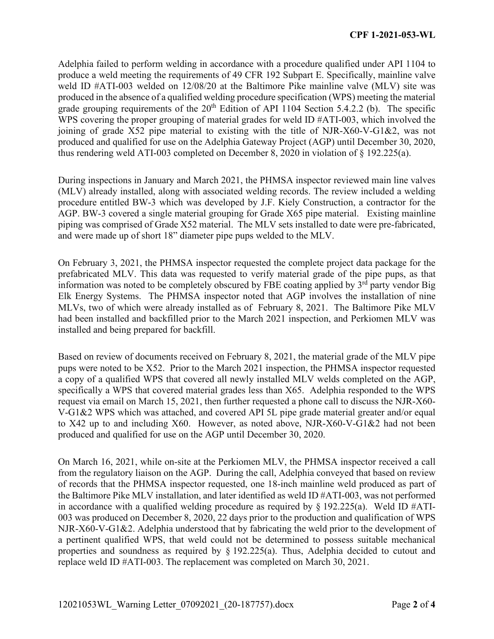Adelphia failed to perform welding in accordance with a procedure qualified under API 1104 to produce a weld meeting the requirements of 49 CFR 192 Subpart E. Specifically, mainline valve weld ID #ATI-003 welded on 12/08/20 at the Baltimore Pike mainline valve (MLV) site was produced in the absence of a qualified welding procedure specification (WPS) meeting the material grade grouping requirements of the  $20<sup>th</sup>$  Edition of API 1104 Section 5.4.2.2 (b). The specific WPS covering the proper grouping of material grades for weld ID #ATI-003, which involved the joining of grade X52 pipe material to existing with the title of NJR-X60-V-G1&2, was not produced and qualified for use on the Adelphia Gateway Project (AGP) until December 30, 2020, thus rendering weld ATI-003 completed on December 8, 2020 in violation of § 192.225(a).

During inspections in January and March 2021, the PHMSA inspector reviewed main line valves (MLV) already installed, along with associated welding records. The review included a welding procedure entitled BW-3 which was developed by J.F. Kiely Construction, a contractor for the AGP. BW-3 covered a single material grouping for Grade X65 pipe material. Existing mainline piping was comprised of Grade X52 material. The MLV sets installed to date were pre-fabricated, and were made up of short 18" diameter pipe pups welded to the MLV.

On February 3, 2021, the PHMSA inspector requested the complete project data package for the prefabricated MLV. This data was requested to verify material grade of the pipe pups, as that information was noted to be completely obscured by FBE coating applied by  $3<sup>rd</sup>$  party vendor Big Elk Energy Systems. The PHMSA inspector noted that AGP involves the installation of nine MLVs, two of which were already installed as of February 8, 2021. The Baltimore Pike MLV had been installed and backfilled prior to the March 2021 inspection, and Perkiomen MLV was installed and being prepared for backfill.

Based on review of documents received on February 8, 2021, the material grade of the MLV pipe pups were noted to be X52. Prior to the March 2021 inspection, the PHMSA inspector requested a copy of a qualified WPS that covered all newly installed MLV welds completed on the AGP, specifically a WPS that covered material grades less than X65. Adelphia responded to the WPS request via email on March 15, 2021, then further requested a phone call to discuss the NJR-X60- V-G1&2 WPS which was attached, and covered API 5L pipe grade material greater and/or equal to X42 up to and including X60. However, as noted above, NJR-X60-V-G1&2 had not been produced and qualified for use on the AGP until December 30, 2020.

On March 16, 2021, while on-site at the Perkiomen MLV, the PHMSA inspector received a call from the regulatory liaison on the AGP. During the call, Adelphia conveyed that based on review of records that the PHMSA inspector requested, one 18-inch mainline weld produced as part of the Baltimore Pike MLV installation, and later identified as weld ID #ATI-003, was not performed in accordance with a qualified welding procedure as required by  $\S$  192.225(a). Weld ID #ATI-003 was produced on December 8, 2020, 22 days prior to the production and qualification of WPS NJR-X60-V-G1&2. Adelphia understood that by fabricating the weld prior to the development of a pertinent qualified WPS, that weld could not be determined to possess suitable mechanical properties and soundness as required by § 192.225(a). Thus, Adelphia decided to cutout and replace weld ID #ATI-003. The replacement was completed on March 30, 2021.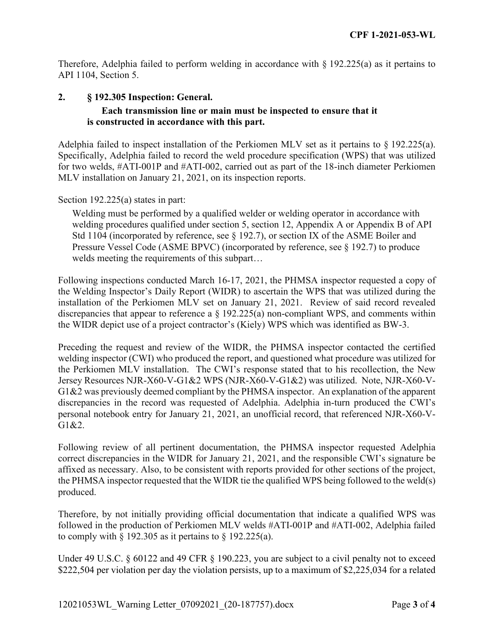Therefore, Adelphia failed to perform welding in accordance with  $\S$  192.225(a) as it pertains to API 1104, Section 5.

## **2. § 192.305 Inspection: General. Each transmission line or main must be inspected to ensure that it is constructed in accordance with this part.**

Adelphia failed to inspect installation of the Perkiomen MLV set as it pertains to § 192.225(a). Specifically, Adelphia failed to record the weld procedure specification (WPS) that was utilized for two welds, #ATI-001P and #ATI-002, carried out as part of the 18-inch diameter Perkiomen MLV installation on January 21, 2021, on its inspection reports.

Section 192.225(a) states in part:

Welding must be performed by a qualified welder or welding operator in accordance with welding procedures qualified under section 5, section 12, Appendix A or Appendix B of API Std 1104 (incorporated by reference, see  $\S$  192.7), or section IX of the ASME Boiler and Pressure Vessel Code (ASME BPVC) (incorporated by reference, see § 192.7) to produce welds meeting the requirements of this subpart…

Following inspections conducted March 16-17, 2021, the PHMSA inspector requested a copy of the Welding Inspector's Daily Report (WIDR) to ascertain the WPS that was utilized during the installation of the Perkiomen MLV set on January 21, 2021. Review of said record revealed discrepancies that appear to reference a § 192.225(a) non-compliant WPS, and comments within the WIDR depict use of a project contractor's (Kiely) WPS which was identified as BW-3.

Preceding the request and review of the WIDR, the PHMSA inspector contacted the certified welding inspector (CWI) who produced the report, and questioned what procedure was utilized for the Perkiomen MLV installation. The CWI's response stated that to his recollection, the New Jersey Resources NJR-X60-V-G1&2 WPS (NJR-X60-V-G1&2) was utilized. Note, NJR-X60-V-G1&2 was previously deemed compliant by the PHMSA inspector. An explanation of the apparent discrepancies in the record was requested of Adelphia. Adelphia in-turn produced the CWI's personal notebook entry for January 21, 2021, an unofficial record, that referenced NJR-X60-V-G1&2.

Following review of all pertinent documentation, the PHMSA inspector requested Adelphia correct discrepancies in the WIDR for January 21, 2021, and the responsible CWI's signature be affixed as necessary. Also, to be consistent with reports provided for other sections of the project, the PHMSA inspector requested that the WIDR tie the qualified WPS being followed to the weld(s) produced.

Therefore, by not initially providing official documentation that indicate a qualified WPS was followed in the production of Perkiomen MLV welds #ATI-001P and #ATI-002, Adelphia failed to comply with  $\S$  192.305 as it pertains to  $\S$  192.225(a).

Under 49 U.S.C. § 60122 and 49 CFR § 190.223, you are subject to a civil penalty not to exceed \$222,504 per violation per day the violation persists, up to a maximum of \$2,225,034 for a related